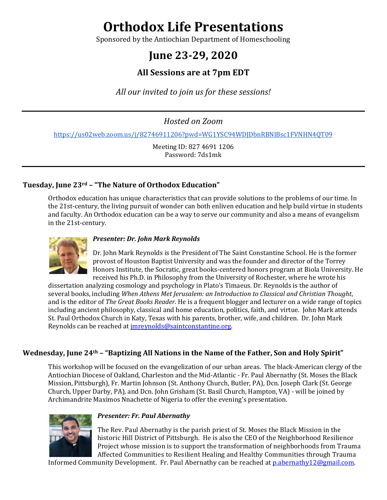# **Orthodox Life Presentations**

Sponsored by the Antiochian Department of Homeschooling

# **June 23-29, 2020**

# **All Sessions are at 7pm EDT**

All our invited to join us for these sessions!

*Hosted on Zoom*

https://us02web.zoom.us/j/82746911206?pwd=WG1YSC94WDJDbnRBNlBsc1FVNHN4QT09

Meeting ID: 827 4691 1206 Password: 7ds1mk

# **Tuesday, June 23rd – "The Nature of Orthodox Education"**

Orthodox education has unique characteristics that can provide solutions to the problems of our time. In the 21st-century, the living pursuit of wonder can both enliven education and help build virtue in students and faculty. An Orthodox education can be a way to serve our community and also a means of evangelism in the 21st-century.



#### *Presenter: Dr. John Mark Reynolds*

Dr. John Mark Reynolds is the President of The Saint Constantine School. He is the former provost of Houston Baptist University and was the founder and director of the Torrey Honors Institute, the Socratic, great books-centered honors program at Biola University. He received his Ph.D. in Philosophy from the University of Rochester, where he wrote his

dissertation analyzing cosmology and psychology in Plato's Timaeus. Dr. Reynolds is the author of several books, including *When Athens Met Jerusalem: an Introduction to Classical and Christian Thought*, and is the editor of *The Great Books Reader*. He is a frequent blogger and lecturer on a wide range of topics including ancient philosophy, classical and home education, politics, faith, and virtue. John Mark attends St. Paul Orthodox Church in Katy, Texas with his parents, brother, wife, and children. Dr. John Mark Reynolds can be reached at *imreynolds@saintconstantine.org*.

# **Wednesday, June 24<sup>th</sup> – "Baptizing All Nations in the Name of the Father, Son and Holy Spirit"**

This workshop will be focused on the evangelization of our urban areas. The black-American clergy of the Antiochian Diocese of Oakland, Charleston and the Mid-Atlantic - Fr. Paul Abernathy (St. Moses the Black Mission, Pittsburgh), Fr. Martin Johnson (St. Anthony Church, Butler, PA), Dcn. Joseph Clark (St. George Church, Upper Darby, PA), and Dcn. John Grisham (St. Basil Church, Hampton, VA) - will be joined by Archimandrite Maximos Nnachette of Nigeria to offer the evening's presentation.



#### **Presenter: Fr. Paul Abernathy**

The Rev. Paul Abernathy is the parish priest of St. Moses the Black Mission in the historic Hill District of Pittsburgh. He is also the CEO of the Neighborhood Resilience Project whose mission is to support the transformation of neighborhoods from Trauma Affected Communities to Resilient Healing and Healthy Communities through Trauma

Informed Community Development. Fr. Paul Abernathy can be reached at  $p$ .abernathy12@gmail.com.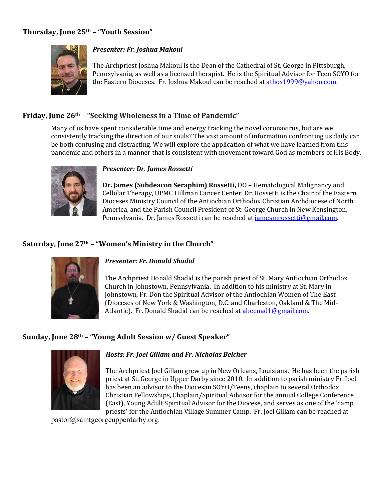# **Thursday, June 25th – "Youth Session"**



#### *Presenter: Fr. Joshua Makoul*

The Archpriest Joshua Makoul is the Dean of the Cathedral of St. George in Pittsburgh, Pennsylvania, as well as a licensed therapist. He is the Spiritual Advisor for Teen SOYO for the Eastern Dioceses. Fr. Joshua Makoul can be reached at  $atmos1999@yahoo.com$ .

# **Friday, June 26th – "Seeking Wholeness in a Time of Pandemic"**

Many of us have spent considerable time and energy tracking the novel coronavirus, but are we consistently tracking the direction of our souls? The vast amount of information confronting us daily can be both confusing and distracting. We will explore the application of what we have learned from this pandemic and others in a manner that is consistent with movement toward God as members of His Body.



#### *Presenter: Dr. James Rossetti*

**Dr. James (Subdeacon Seraphim) Rossetti,** DO - Hematological Malignancy and Cellular Therapy, UPMC Hillman Cancer Center. Dr. Rossetti is the Chair of the Eastern Dioceses Ministry Council of the Antiochian Orthodox Christian Archdiocese of North America, and the Parish Council President of St. George Church in New Kensington, Pennsylvania. Dr. James Rossetti can be reached at *jamesmrossetti@gmail.com.* 

# Saturday, June 27<sup>th</sup> - "Women's Ministry in the Church"



#### *Presenter: Fr. Donald Shadid*

The Archpriest Donald Shadid is the parish priest of St. Mary Antiochian Orthodox Church in Johnstown, Pennsylvania. In addition to his ministry at St. Mary in Johnstown, Fr. Don the Spiritual Advisor of the Antiochian Women of The East (Dioceses of New York & Washington, D.C. and Charleston, Oakland & The Mid-Atlantic). Fr. Donald Shadid can be reached at abeenad1@gmail.com.

#### **Sunday, June 28th – "Young Adult Session w/ Guest Speaker"**



#### Hosts: Fr. Joel Gillam and Fr. Nicholas Belcher

The Archpriest Joel Gillam grew up in New Orleans, Louisiana. He has been the parish priest at St. George in Upper Darby since 2010. In addition to parish ministry Fr. Joel has been an advisor to the Diocesan SOYO/Teens, chaplain to several Orthodox Christian Fellowships, Chaplain/Spiritual Advisor for the annual College Conference (East), Young Adult Spiritual Advisor for the Diocese, and serves as one of the 'camp priests' for the Antiochian Village Summer Camp. Fr. Joel Gillam can be reached at

pastor@saintgeorgeupperdarby.org.